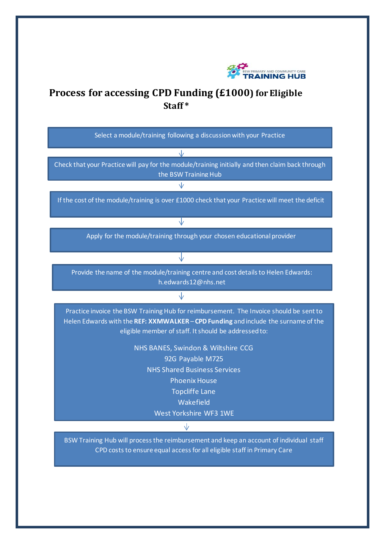

## **Process for accessing CPD Funding (£1000) for Eligible Staff \***